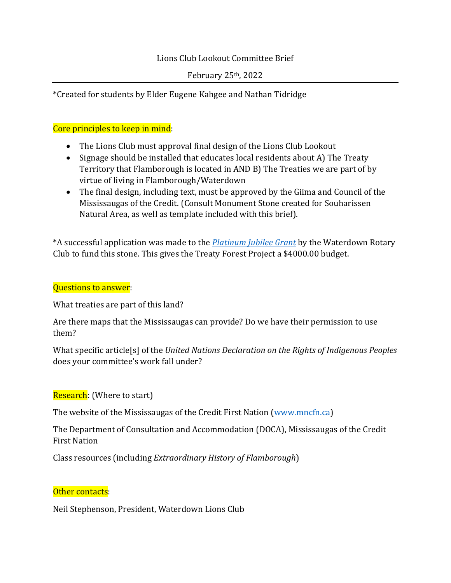## Lions Club Lookout Committee Brief

February  $25<sup>th</sup>$ , 2022

\*Created for students by Elder Eugene Kahgee and Nathan Tidridge

# Core principles to keep in mind:

- The Lions Club must approval final design of the Lions Club Lookout
- Signage should be installed that educates local residents about A) The Treaty Territory that Flamborough is located in AND B) The Treaties we are part of by virtue of living in Flamborough/Waterdown
- The final design, including text, must be approved by the Giima and Council of the Mississaugas of the Credit. (Consult Monument Stone created for Souharissen Natural Area, as well as template included with this brief).

\*A successful application was made to the *[Platinum Jubilee Grant](https://www.canada.ca/en/canadian-heritage/services/funding/platinum-jubilee.html)* by the Waterdown Rotary Club to fund this stone. This gives the Treaty Forest Project a \$4000.00 budget.

#### Questions to answer:

What treaties are part of this land?

Are there maps that the Mississaugas can provide? Do we have their permission to use them?

What specific article[s] of the *United Nations Declaration on the Rights of Indigenous Peoples* does your committee's work fall under?

## Research: (Where to start)

The website of the Mississaugas of the Credit First Nation [\(www.mncfn.ca\)](http://www.mncfn.ca/)

The Department of Consultation and Accommodation (DOCA), Mississaugas of the Credit First Nation

Class resources (including *Extraordinary History of Flamborough*)

## Other contacts:

Neil Stephenson, President, Waterdown Lions Club